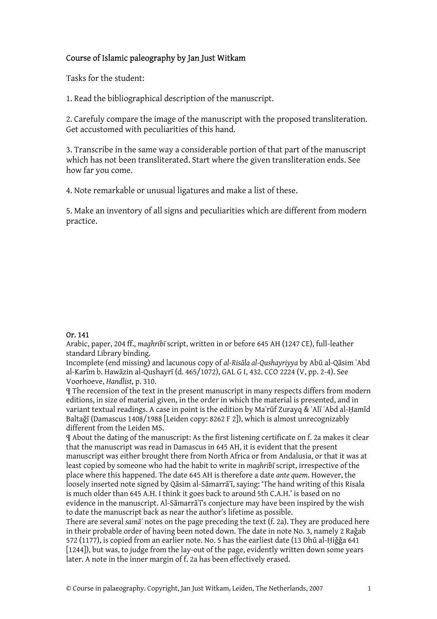## Course of Islamic paleography by Jan Just Witkam

Tasks for the student:

1. Read the bibliographical description of the manuscript.

2. Carefuly compare the image of the manuscript with the proposed transliteration. Get accustomed with peculiarities of this hand.

3. Transcribe in the same way a considerable portion of that part of the manuscript which has not been transliterated. Start where the given transliteration ends. See how far you come.

4. Note remarkable or unusual ligatures and make a list of these.

5. Make an inventory of all signs and peculiarities which are different from modern practice.

## Or. 141

Arabic, paper, 204 ff., *maghribī* script, written in or before 645 AH (1247 CE), full-leather standard Library binding.

Incomplete (end missing) and lacunous copy of *al-Risāla al-Qushayriyya* by Abū al-Qāsim ʿAbd al-Karīm b. Hawāzin al-Qushayrī (d. 465/1072), GAL G I, 432. CCO 2224 (V, pp. 2-4). See Voorhoeve, *Handlist*, p. 310.

¶ The recension of the text in the present manuscript in many respects differs from modern editions, in size of material given, in the order in which the material is presented, and in variant textual readings. A case in point is the edition by Maʿrūf Zurayq & ʿAlī ʿAbd al-Ḥamīd Baltaǧī (Damascus 1408/1988 [Leiden copy: 8262 F 2]), which is almost unrecognizably different from the Leiden MS.

¶ About the dating of the manuscript: As the first listening certificate on f. 2a makes it clear that the manuscript was read in Damascus in 645 AH, it is evident that the present manuscript was either brought there from North Africa or from Andalusia, or that it was at least copied by someone who had the habit to write in *maghribī* script, irrespective of the place where this happened. The date 645 AH is therefore a date *ante quem*. However, the loosely inserted note signed by Qāsim al-Sāmarrāʾī, saying: 'The hand writing of this Risala is much older than 645 A.H. I think it goes back to around 5th C.A.H.' is based on no evidence in the manuscript. Al-Sāmarrā<sup>†</sup> is conjecture may have been inspired by the wish to date the manuscript back as near the author's lifetime as possible.

There are several *samāʿ* notes on the page preceding the text (f. 2a). They are produced here in their probable order of having been noted down. The date in note No. 3, namely 2 Raǧab 572 (1177), is copied from an earlier note. No. 5 has the earliest date (13 Dhū al-Hiğğa 641 [1244]), but was, to judge from the lay-out of the page, evidently written down some years later. A note in the inner margin of f. 2a has been effectively erased.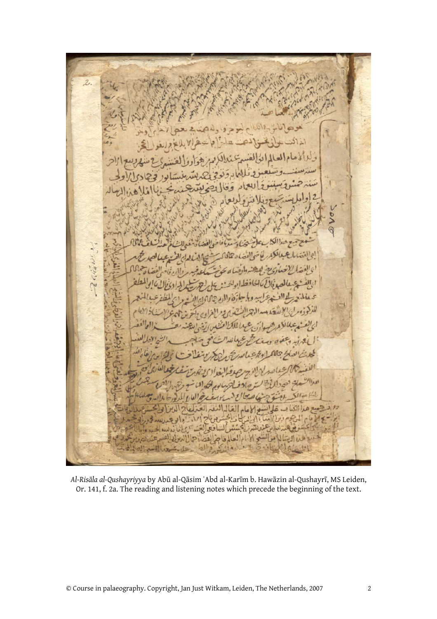۱s حو الإلم العالم فا  $\sim$ 

*Al-Risāla al-Qushayriyya* by Abū al-Qāsim ʿAbd al-Karīm b. Hawāzin al-Qushayrī, MS Leiden, Or. 141, f. 2a. The reading and listening notes which precede the beginning of the text.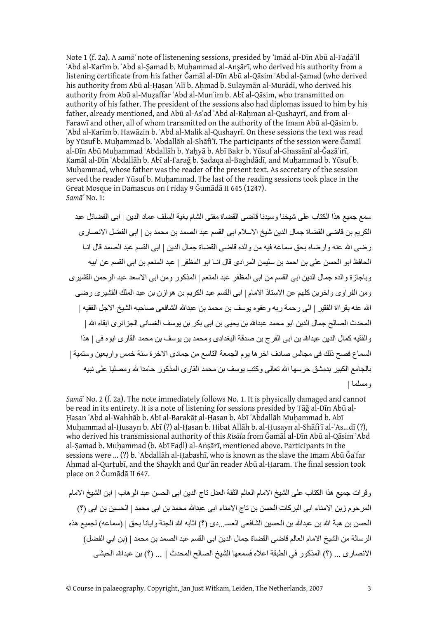Note 1 (f. 2a). A *samāʿ* note of listenening sessions, presided by ʿImād al-Dīn Abū al-Faḍāʾil ʿAbd al-Karīm b. ʿAbd al-Ṣamad b. Muḥammad al-Anṣārī, who derived his authority from a listening certificate from his father Ǧamāl al-Dīn Abū al-Qāsim ʿAbd al-Ṣamad (who derived his authority from Abū al-Hasan ʿAlī b. Ahmad b. Sulaymān al-Murādī, who derived his authority from Abū al-Muẓaffar ʿAbd al-Munʿim b. Abī al-Qāsim, who transmitted on authority of his father. The president of the sessions also had diplomas issued to him by his father, already mentioned, and Abū al-Asʿad ʿAbd al-Raḥman al-Qushayrī, and from al-Farawī and other, all of whom transmitted on the authority of the Imam Abū al-Qāsim b. ʿAbd al-Karīm b. Hawāzin b. ʿAbd al-Malik al-Qushayrī. On these sessions the text was read by Yūsuf b. Muḥammad b. ʿAbdallāh al-Shāfiʿī. The participants of the session were Ǧamāl al-Dīn Abū Muhammad ʿAbdallāh b. Yahyā b. Abī Bakr b. Yūsuf al-Ghassānī al-Ğazā'irī, Kamāl al-Dīn ʿAbdallāh b. Abī al-Faraǧ b. Ṣadaqa al-Baghdādī, and Muḥammad b. Yūsuf b. Muḥammad, whose father was the reader of the present text. As secretary of the session served the reader Yūsuf b. Muḥammad. The last of the reading sessions took place in the Great Mosque in Damascus on Friday 9 Ǧumādā II 645 (1247). *Samāʿ* No. 1:

سمع جميع هذا الكتاب على شيخنا وسيدنا قاضى القضاة مفتى الشام بغية السلف عماد الدين | ابى الفضائل عبد الكريم بن قاضى القضاة جمال الدين شيخ الاسلام ابى القسم عبد الصمد بن محمد بن | ابى الفضل الانصارى رضى االله عنه وارضاه بحق سماعه فيه من والده قاضى القضاة جمال الدين | ابى القسم عبد الصمد قال انـا الحافظ ابو الحسن على بن احمد بن سليمن المرادى قال انـا ابو المظفر | عبد المنعم بن ابي القسم عن ابيه وباجاز ة والده جمال الدين ابى القسم من ابى المظفر عبد المنعم | المذكور ومن ابى الاسعد عبد الرحمن القشير ي ومن الفراوى واخرين آلهم عن الاستاذ الامام | ابى القسم عبد الكريم بن هوازن بن عبد الملك القشيرى رضى الله عنه بقر ااة الفقير | الى رحمة ربه وعفوه يوسف بن محمد بن عبدالله الشافعي صاحبه الشيخ الاجل الفقيه | المحدث الصالح جمال الدين ابو محمد عبدالله بن يحيى بن ابي بكر بن يوسف الغساني الجز ائر ي ابقاه الله | والفقيه كمال الدين عبدالله بن ابى الفرج بن صدقة البغدادى ومحمد بن يوسف بن محمد القارى ابوه فى | هذا السماع فصح ذلك فى مجالس صادف اخرها يوم الجمعة التاسع من جمادى الاخرة سنة خمس واربعين وستمية | بالجامع الكبير بدمشق حرسها الله تعالى وكتب يوسف بن محمد القارى المذكور حامدا لله ومصليا على نبيه ومسلما |

*Samāʿ* No. 2 (f. 2a). The note immediately follows No. 1. It is physically damaged and cannot be read in its entirety. It is a note of listening for sessions presided by Tāǧ al-Dīn Abū al-Ḥasan ʿAbd al-Wahhāb b. Abī al-Barakāt al-Ḥasan b. Abī ʿAbdallāh Muḥammad b. Abī Muḥammad al-Ḥusayn b. Abī (?) al-Ḥasan b. Hibat Allāh b. al-Ḥusayn al-Shāfiʿī al-ʿAs...dī (?), who derived his transmissional authority of this *Risāla* from Ǧamāl al-Dīn Abū al-Qāsim ʿAbd al-Samad b. Muhammad (b. Abī Fadl) al-Ansārī, mentioned above. Participants in the sessions were ... (?) b. `Abdallāh al-Habashī, who is known as the slave the Imam Abū Ğa`far Ahmad al-Qurtubī, and the Shaykh and Qur'ān reader Abū al-Haram. The final session took place on 2 Ǧumādā II 647.

وقرات جميع هذا الكتاب على الشيخ الامام العالم الثقة العدل تاج الدين ابى الحسن عبد الوهاب | ابن الشيخ الامام المرحوم زين الامناء ابى البركات الحسن بن تاج الامناء ابى عبدالله محمد بن ابى محمد | الحسين بن ابى (؟) الحسن بن هبة االله بن عبداالله بن الحسين الشافعى العسـ...دى (؟) اثابه االله الجنة وايانا بحق | (سماعه) لجميع هذه الرسالة من الشيخ الامام العالم قاضى القضاة جمال الدين ابى القسم عبد الصمد بن محمد | (بن ابي الفضل) الانصارى ... (؟) المذكور في الطبقة اعلاه فسمعها الشيخ الصالح المحدث || ... (؟) بن عبدالله الحبشى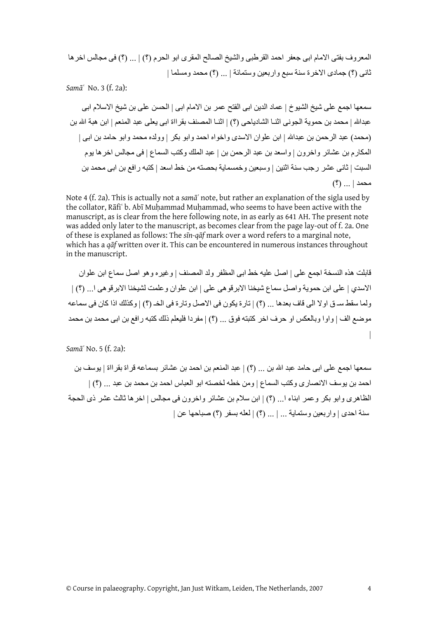المعروف بفتى الامام ابى جعفر احمد القرطبى والشيخ الصالح المقرى ابو الحرم (؟) | ... (؟) فى مجالس اخرها ثانى (؟) جمادى الاخرة سنة سبع واربعين وستمائة | ... (؟) محمد ومسلما |

*Samāʿ* No. 3 (f. 2a):

سمعها اجمع على شيخ الشيوخ | عماد الدين ابى الفتح عمر بن الامام ابى | الحسن على بن شيخ الاسلام ابى عبداالله | محمد بن حموية الجونى اثنـا الشادياحى (؟) | اثنـا المصنف بقرااة ابى يعلى عبد المنعم | ابن هبة االله بن (محمد) عبد الرحمن بن عبداالله | ابن علوان الاسدى واخواه احمد وابو بكر | وولده محمد وابو حامد بن ابى | المكارم بن عشائر واخرون | واسعد بن عبد الرحمن بن | عبد الملك وآتب السماع | فى مجالس اخرها يوم السبت | ثانى عشر رجب سنة اثنين | وسبعين وخمسماية بحصته من خط اسعد | آتبه رافع بن ابى محمد بن محمد | ... (؟)

Note 4 (f. 2a). This is actually not a *samāʿ* note, but rather an explanation of the sigla used by the collator, Rāfiʿ b. Abī Muḥammad Muḥammad, who seems to have been active with the manuscript, as is clear from the here following note, in as early as 641 AH. The present note was added only later to the manuscript, as becomes clear from the page lay-out of f. 2a. One of these is explaned as follows: The *sīn-qāf* mark over a word refers to a marginal note, which has a *qāf* written over it. This can be encountered in numerous instances throughout in the manuscript.

قابلت هذه النسخة اجمع على | اصل عليه خط ابى المظفر ولد المصنف | وغيره وهو اصل سماع ابن علوان الاسدي | على ابن حموية واصل سماع شيخنا الابرقوهى على | ابن علوان وعلمت لشيخنا الابرقوهى ا... (؟) | ولما سقط سـ ق اولا الى قاف بعدها ... (؟) | تارة يكون فى الاصل وتارة فى الخـ (؟) | وآذلك اذا آان فى سماعه موضع الف | واوا وبالعكس او حرف اخر كتبته فوق ... (؟) | مفردا فليعلم ذلك كتبه رافع بن ابى محمد بن محمد |

*Samāʿ* No. 5 (f. 2a):

سمعها اجمع على ابى حامد عبد االله بن ... (؟) | عبد المنعم بن احمد بن عشائر بسماعه قراة بقرااة | يوسف بن احمد بن يوسف الانصار ي وكتب السماع | ومن خطه لخصته ابو العباس احمد بن محمد بن عبد ... (؟) | الظاهرى وابو بكر وعمر ابناء ا... (؟) | ابن سلام بن عشائر واخرون فى مجالس | اخرها ثالث عشر ذى الحجة سنة احدى | واربعين وستماية ... | ... (؟) | لعله بسفر (؟) صباحها عن |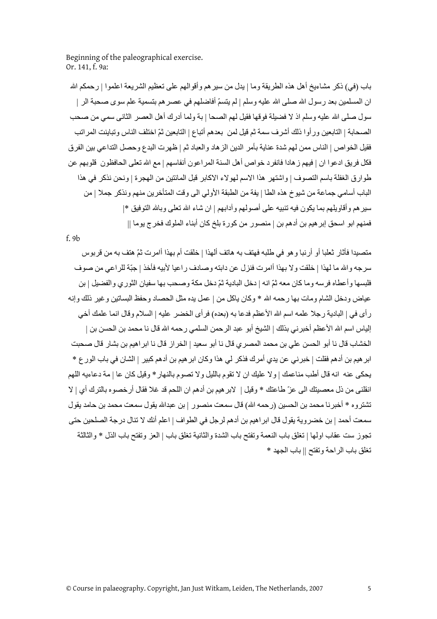Beginning of the paleographical exercise. Or. 141, f. 9a:

باب (في) ذكر مشاءيخ أهل هذه الطريقة وما | يدل من سير هم وأقوالهم على تعظيم الشريعة اعلموا | رحمكم الله ان المسلمين بعد رسول الله صلى الله عليه وسلم | لم يتسمّ أفاضلهم في عصر هم بتسمية علم سوى صحبة الر | سول صلى الله عليه وسلم اذ لا فضيلة فوقها فقيل لهم الصحا | بة ولما أدرك أهل العصر الثاني سمي من صحب الصحابة | التابعين ورأوا ذلك أشرف سمة ثم قيل لمن بعدهم أتباع | التابعين ثمّ اختلف الناس وتباينت المراتب فقيل الخواص | الناس ممن لهم شدة عناية بأمر الدين الزهاد والعباد ثم | ظهرت البدع وحصل التداعي بين الفرق فكل فريق ادعوا ان | فيهم زهادا فانفرد خواص أهل السنة المراعون أنفاسهم | مع االله تعلى الحافظون قلوبهم عن طوارق الغفلة باسم التصوف | واشتهر هذا الاسم لهولاء الاآابر قبل المائتين من الهجرة | ونحن نذآر في هذا الباب أسامي جماعة من شيوخ هذه الطا | يفة من الطبقة الأولي الى وقت المتأخرين منهم ونذآر جملا | من سير هم و أقاويلهم بما يكون فيه تنبيه على أصولهم و آدابهم | ان شاء الله تعلى وبالله التوفيق \*| فمنهم ابو اسحق إبر هيم بن أدهم بن | منصور من كورة بلخ كان أبناء الملوك فخرج يوما ||

f. 9b

متصيدا فأثار ثعلبا أو أرنبا وهو في طلبه فهتف به هاتف ألهذا | خلقت أم بهذا أامرت ثمّ هتف به من قربوس سرجه واالله ما لهذا | خلقت ولا بهذا أامرت فنزل عن دابته وصادف راعيا لأبيه فأخذ | جبّة للراعي من صوف فلبسها وأعطاه فرسه وما كان معه ثمّ انه | دخل البادية ثمّ دخل مكة وصحب بها سفيان الثوري والفضيل | بن عياض ودخل الشام ومات بها رحمه الله \* وكان ياكل من | عمل يده مثل الحصاد وحفظ البساتين و غير ذلك و إنه رأى في | البادية رجلا علمه اسم الله الأعظم فدعا به (بعده) فرأى الخضر عليه | السلام وقال انما علمك أخي إلياس اسم الله الأعظم أخبرني بذلك | الشيخ أبو عبد الرحمن السلمي رحمه الله قال نا محمد بن الحسن بن | الخشاب قال نا أبو الحسن علي بن محمد المصري قال نا أبو سعيد | الخراز قال نا ابراهيم بن بشار قال صحبت ابر هيم بن أدهم فقلت | خبر ني عن يدي أمر ك فذكر لي هذا وكان ابر هيم بن أدهم كبير | الشان في باب الورع \* يحكي عنه انه قال أطب مناعمك | و لا عليك ان لا تقوم بالليل و لا تصوم بالنهار \* وقيل كان عا | مة دعاءيه اللهم انقلنى من ذل معصيتك الى عزّ طاعتك \* وقيل | لابرهيم بن أدهم ان اللحم قد غلا فقال أرخصوه بالترك أي | لا تشتروه \* أخبرنا محمد بن الحسين (رحمه االله) قال سمعت منصور | بن عبداالله يقول سمعت محمد بن حامد يقول سمعت أحمد | بن خضروية يقول قال ابراهيم بن أدهم لرجل في الطواف | اعلم أنك لا تنال درجة الصلحين حتى تجوز ست عقاب اولها | تغلق باب النعمة وتفتح باب الشدة والثانية تغلق باب | العز وتفتح باب الذل \* والثالثة تغلق باب الراحة وتفتح || باب الجهد \*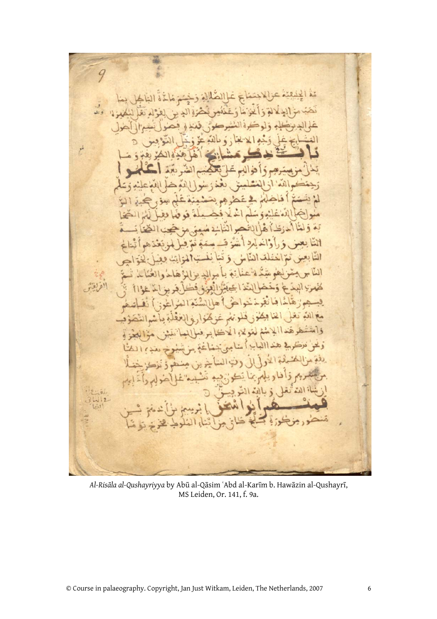9 لم ъ ا دا تذؤله انشا  $\overline{5}$ نغ قسا وأخر التابه النا كمفهرا  $\mathfrak{g}$ یم مع الذه ذاء هند و تلا 711  $\triangleright$  $\Omega$ ويلهم

*Al-Risāla al-Qushayriyya* by Abū al-Qāsim ʿAbd al-Karīm b. Hawāzin al-Qushayrī, MS Leiden, Or. 141, f. 9a.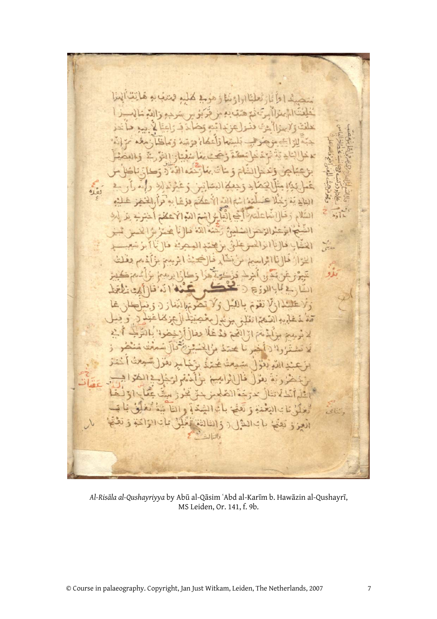$42.00$  $L)$  $10 - 3$ ش ( لننسك  $360$ ة الشالغة الذ  $211$ إرهي:  $3!$ 

*Al-Risāla al-Qushayriyya* by Abū al-Qāsim ʿAbd al-Karīm b. Hawāzin al-Qushayrī, MS Leiden, Or. 141, f. 9b.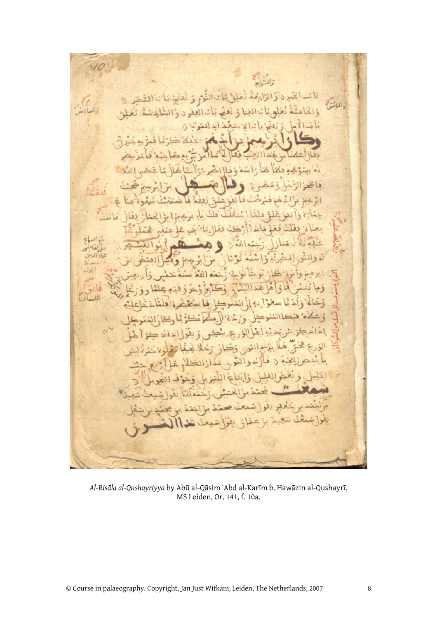四  $c_{\rm jet}$ Æ\$

*Al-Risāla al-Qushayriyya* by Abū al-Qāsim ʿAbd al-Karīm b. Hawāzin al-Qushayrī, MS Leiden, Or. 141, f. 10a.